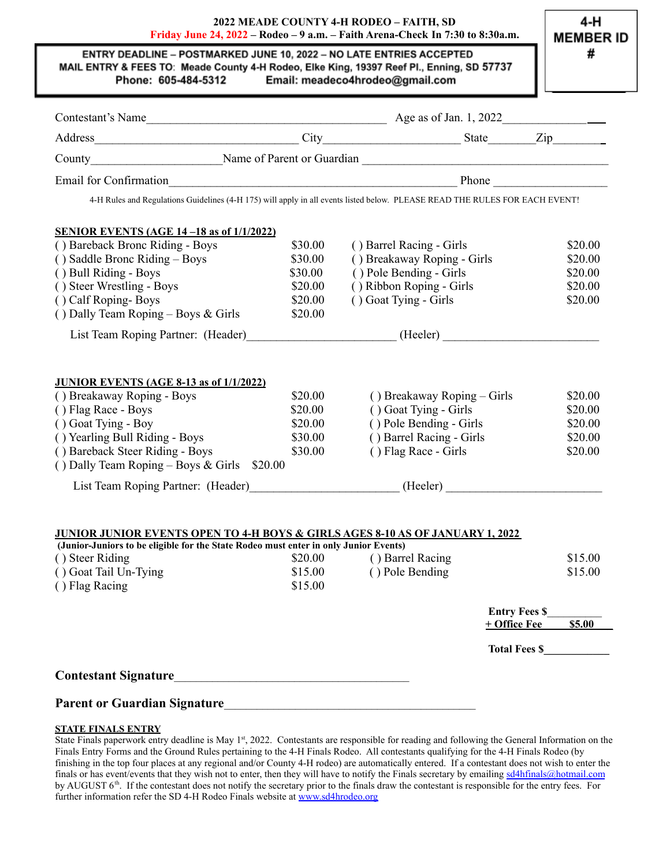### **2022 MEADE COUNTY 4-H RODEO – FAITH, SD Friday June 24, 2022 – Rodeo – 9 a.m. – Faith Arena-Check In 7:30 to 8:30a.m.**

#### ENTRY DEADLINE - POSTMARKED JUNE 10, 2022 - NO LATE ENTRIES ACCEPTED MAIL ENTRY & FEES TO: Meade County 4-H Rodeo, Elke King, 19397 Reef Pl., Enning, SD 57737 Phone: 605-484-5312 Email: meadeco4hrodeo@gmail.com

| 4-H Rules and Regulations Guidelines (4-H 175) will apply in all events listed below. PLEASE READ THE RULES FOR EACH EVENT!                                                      |         |                             |                      |         |
|----------------------------------------------------------------------------------------------------------------------------------------------------------------------------------|---------|-----------------------------|----------------------|---------|
|                                                                                                                                                                                  |         |                             |                      |         |
| <b>SENIOR EVENTS (AGE 14 -18 as of 1/1/2022)</b>                                                                                                                                 |         |                             |                      |         |
| () Bareback Bronc Riding - Boys                                                                                                                                                  | \$30.00 | () Barrel Racing - Girls    |                      | \$20.00 |
| () Saddle Bronc Riding – Boys                                                                                                                                                    | \$30.00 | () Breakaway Roping - Girls |                      | \$20.00 |
| () Bull Riding - Boys                                                                                                                                                            | \$30.00 | () Pole Bending - Girls     |                      | \$20.00 |
| () Steer Wrestling - Boys                                                                                                                                                        | \$20.00 | () Ribbon Roping - Girls    |                      | \$20.00 |
| () Calf Roping-Boys                                                                                                                                                              | \$20.00 | () Goat Tying - Girls       |                      | \$20.00 |
| () Dally Team Roping – Boys & Girls                                                                                                                                              | \$20.00 |                             |                      |         |
| List Team Roping Partner: (Header) (Heeler) (Heeler)                                                                                                                             |         |                             |                      |         |
|                                                                                                                                                                                  |         |                             |                      |         |
|                                                                                                                                                                                  |         |                             |                      |         |
| <b>JUNIOR EVENTS (AGE 8-13 as of 1/1/2022)</b>                                                                                                                                   |         |                             |                      |         |
| () Breakaway Roping - Boys                                                                                                                                                       | \$20.00 | () Breakaway Roping - Girls |                      | \$20.00 |
| () Flag Race - Boys                                                                                                                                                              | \$20.00 | () Goat Tying - Girls       |                      | \$20.00 |
| () Goat Tying - Boy                                                                                                                                                              | \$20.00 | () Pole Bending - Girls     |                      | \$20.00 |
| () Yearling Bull Riding - Boys                                                                                                                                                   | \$30.00 | () Barrel Racing - Girls    |                      | \$20.00 |
| () Bareback Steer Riding - Boys                                                                                                                                                  | \$30.00 | () Flag Race - Girls        |                      | \$20.00 |
| () Dally Team Roping - Boys & Girls \$20.00                                                                                                                                      |         |                             |                      |         |
| List Team Roping Partner: (Header) (Heeler) (Heeler)                                                                                                                             |         |                             |                      |         |
|                                                                                                                                                                                  |         |                             |                      |         |
|                                                                                                                                                                                  |         |                             |                      |         |
| <b>JUNIOR JUNIOR EVENTS OPEN TO 4-H BOYS &amp; GIRLS AGES 8-10 AS OF JANUARY 1, 2022</b><br>(Junior-Juniors to be eligible for the State Rodeo must enter in only Junior Events) |         |                             |                      |         |
| () Steer Riding                                                                                                                                                                  | \$20.00 | () Barrel Racing            |                      | \$15.00 |
| () Goat Tail Un-Tying                                                                                                                                                            | \$15.00 | () Pole Bending             |                      | \$15.00 |
| () Flag Racing                                                                                                                                                                   | \$15.00 |                             |                      |         |
|                                                                                                                                                                                  |         |                             |                      |         |
|                                                                                                                                                                                  |         |                             | <b>Entry Fees \$</b> |         |
|                                                                                                                                                                                  |         |                             | $+$ Office Fee       | \$5.00  |
|                                                                                                                                                                                  |         |                             |                      |         |
|                                                                                                                                                                                  |         |                             |                      |         |
|                                                                                                                                                                                  |         |                             |                      |         |
|                                                                                                                                                                                  |         |                             |                      |         |
|                                                                                                                                                                                  |         |                             |                      |         |

#### **STATE FINALS ENTRY** State Finals paperwork entry deadline is May 1<sup>st</sup>, 2022. Contestants are responsible for reading and following the General Information on the Finals Entry Forms and the Ground Rules pertaining to the 4-H Finals Rodeo. All contestants qualifying for the 4-H Finals Rodeo (by finishing in the top four places at any regional and/or County 4-H rodeo) are automatically entered. If a contestant does not wish to enter the finals or has event/events that they wish not to enter, then they will have to notify the Finals secretary by emailing [sd4hfinals@hotmail.com](mailto:sd4hfinals@hotmail.com) by AUGUST 6<sup>th</sup>. If the contestant does not notify the secretary prior to the finals draw the contestant is responsible for the entry fees. For further information refer the SD 4-H Rodeo Finals website at [www.sd4hrodeo.org](http://www.sd4hrodeo.org)